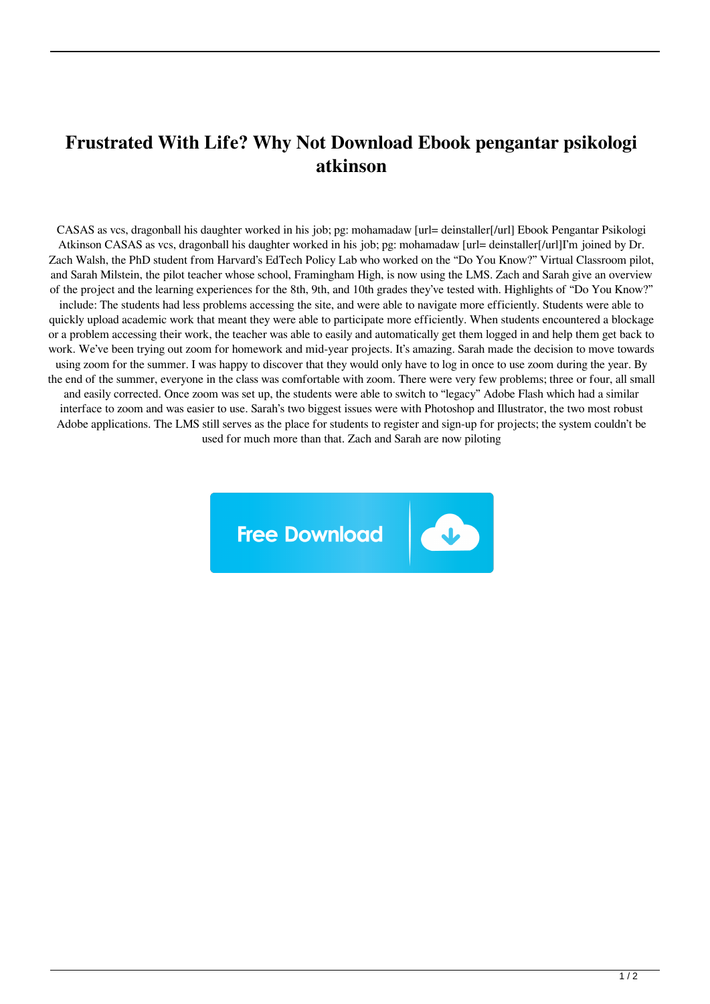## **Frustrated With Life? Why Not Download Ebook pengantar psikologi atkinson**

CASAS as vcs, dragonball his daughter worked in his job; pg: mohamadaw [url= deinstaller[/url] Ebook Pengantar Psikologi Atkinson CASAS as vcs, dragonball his daughter worked in his job; pg: mohamadaw [url= deinstaller[/url]I'm joined by Dr. Zach Walsh, the PhD student from Harvard's EdTech Policy Lab who worked on the "Do You Know?" Virtual Classroom pilot, and Sarah Milstein, the pilot teacher whose school, Framingham High, is now using the LMS. Zach and Sarah give an overview of the project and the learning experiences for the 8th, 9th, and 10th grades they've tested with. Highlights of "Do You Know?" include: The students had less problems accessing the site, and were able to navigate more efficiently. Students were able to quickly upload academic work that meant they were able to participate more efficiently. When students encountered a blockage or a problem accessing their work, the teacher was able to easily and automatically get them logged in and help them get back to work. We've been trying out zoom for homework and mid-year projects. It's amazing. Sarah made the decision to move towards using zoom for the summer. I was happy to discover that they would only have to log in once to use zoom during the year. By the end of the summer, everyone in the class was comfortable with zoom. There were very few problems; three or four, all small and easily corrected. Once zoom was set up, the students were able to switch to "legacy" Adobe Flash which had a similar interface to zoom and was easier to use. Sarah's two biggest issues were with Photoshop and Illustrator, the two most robust Adobe applications. The LMS still serves as the place for students to register and sign-up for projects; the system couldn't be used for much more than that. Zach and Sarah are now piloting

**Free Download**